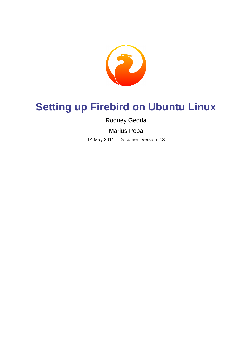

# **Setting up Firebird on Ubuntu Linux**

Rodney Gedda

Marius Popa

14 May 2011 – Document version 2.3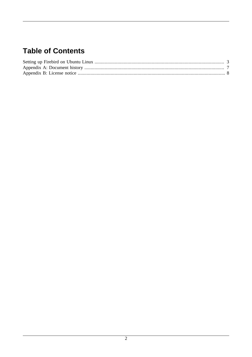# **Table of Contents**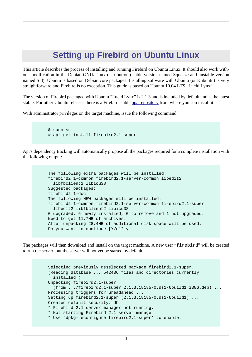### <span id="page-2-0"></span>**Setting up Firebird on Ubuntu Linux**

This article describes the process of installing and running Firebird on Ubuntu Linux. It should also work without modification in the Debian GNU/Linux distribution (stable version named Squeeze and unstable version named Sid). Ubuntu is based on Debian core packages. Installing software with Ubuntu (or Kubuntu) is very straightforward and Firebird is no exception. This guide is based on Ubuntu 10.04 LTS "Lucid Lynx".

The version of Firebird packaged with Ubuntu "Lucid Lynx" is 2.1.3 and is included by default and is the latest stable. For other Ubuntu releases there is a Firebird stable [ppa repository](http://help.ubuntu.com/community/Firebird2.1) from where you can install it.

With administrator privileges on the target machine, issue the following command:

```
 $ sudo su
# apt-get install firebird2.1-super
```
Apt's dependency tracking will automatically propose all the packages required for a complete installation with the following output:

```
 The following extra packages will be installed:
firebird2.1-common firebird2.1-server-common libedit2
  libfbclient2 libicu38
Suggested packages:
firebird2.1-doc
The following NEW packages will be installed:
firebird2.1-common firebird2.1-server-common firebird2.1-super
  libedit2 libfbclient2 libicu38
0 upgraded, 6 newly installed, 0 to remove and 1 not upgraded.
Need to get 11.7MB of archives.
After unpacking 28.4MB of additional disk space will be used.
Do you want to continue [Y/n]? y
```
The packages will then download and install on the target machine. A new user "firebird" will be created to run the server, but the server will not yet be started by default:

```
 Selecting previously deselected package firebird2.1-super.
(Reading database ... 542436 files and directories currently
  installed.)
Unpacking firebird2.1-super 
  (from .../firebird2.1-super_2.1.3.18185-0.ds1-6build1_i386.deb) ...
Processing triggers for ureadahead ...
Setting up firebird2.1-super (2.1.3.18185-0.ds1-6build1) ...
Created default security.fdb
* Firebird 2.1 server manager not running.
* Not starting Firebird 2.1 server manager
* Use `dpkg-reconfigure firebird2.1-super' to enable.
```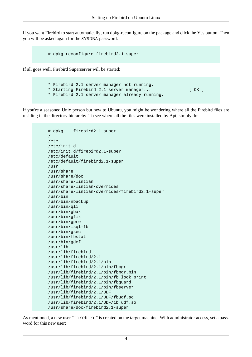If you want Firebird to start automatically, run dpkg-reconfigure on the package and click the Yes button. Then you will be asked again for the SYSDBA password:

```
 # dpkg-reconfigure firebird2.1-super
```
If all goes well, Firebird Superserver will be started:

 \* Firebird 2.1 server manager not running. \* Starting Firebird 2.1 server manager... [ OK ] \* Firebird 2.1 server manager already running.

If you're a seasoned Unix person but new to Ubuntu, you might be wondering where all the Firebird files are residing in the directory hierarchy. To see where all the files were installed by Apt, simply do:

```
 # dpkg -L firebird2.1-super
/.
/etc
/etc/init.d
/etc/init.d/firebird2.1-super
/etc/default
/etc/default/firebird2.1-super
/usr
/usr/share
/usr/share/doc
/usr/share/lintian
/usr/share/lintian/overrides
/usr/share/lintian/overrides/firebird2.1-super
/usr/bin
/usr/bin/nbackup
/usr/bin/qli
/usr/bin/gbak
/usr/bin/gfix
/usr/bin/gpre
/usr/bin/isql-fb
/usr/bin/gsec
/usr/bin/fbstat
/usr/bin/gdef
/usr/lib
/usr/lib/firebird
/usr/lib/firebird/2.1
/usr/lib/firebird/2.1/bin
/usr/lib/firebird/2.1/bin/fbmgr
/usr/lib/firebird/2.1/bin/fbmgr.bin
/usr/lib/firebird/2.1/bin/fb_lock_print
/usr/lib/firebird/2.1/bin/fbguard
/usr/lib/firebird/2.1/bin/fbserver
/usr/lib/firebird/2.1/UDF
/usr/lib/firebird/2.1/UDF/fbudf.so
/usr/lib/firebird/2.1/UDF/ib_udf.so
/usr/share/doc/firebird2.1-super
```
As mentioned, a new user "firebird" is created on the target machine. With administrator access, set a password for this new user: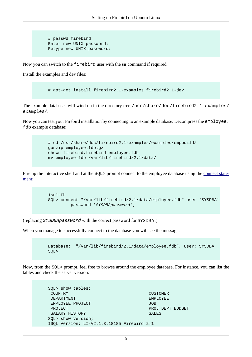```
 # passwd firebird
Enter new UNIX password:
Retype new UNIX password:
```
Now you can switch to the firebird user with the **su** command if required.

Install the examples and dev files:

# apt-get install firebird2.1-examples firebird2.1-dev

The example databases will wind up in the directory tree /usr/share/doc/firebird2.1-examples/ examples/.

Now you can test your Firebird installation by connecting to an example database. Decompress the employee. fdb example database:

```
 # cd /usr/share/doc/firebird2.1-examples/examples/empbuild/
gunzip employee.fdb.gz
chown firebird.firebird employee.fdb
mv employee.fdb /var/lib/firebird/2.1/data/
```
Fire up the interactive shell and at the SQL> prompt connect to the employee database using the [connect state](http://www.firebirdsql.org/manual/qsg2-databases.html#qsg2-databases-connecting)[ment](http://www.firebirdsql.org/manual/qsg2-databases.html#qsg2-databases-connecting):

```
 isql-fb
SQL> connect "/var/lib/firebird/2.1/data/employee.fdb" user 'SYSDBA'
         password 'SYSDBApassword';
```
(replacing SYSDBApassword with the correct password for SYSDBA!)

When you manage to successfully connect to the database you will see the message:

```
 Database: "/var/lib/firebird/2.1/data/employee.fdb", User: SYSDBA
SQL>
```
Now, from the SQL> prompt, feel free to browse around the employee database. For instance, you can list the tables and check the server version:

| SQL> show tables;                          |                  |
|--------------------------------------------|------------------|
| COUNTRY                                    | <b>CUSTOMER</b>  |
| DEPARTMENT                                 | <b>EMPLOYEE</b>  |
| EMPLOYEE PROJECT                           | <b>JOB</b>       |
| PROJECT                                    | PROJ DEPT BUDGET |
| SALARY HISTORY                             | <b>SALES</b>     |
| SQL> show version;                         |                  |
| ISQL Version: LI-V2.1.3.18185 Firebird 2.1 |                  |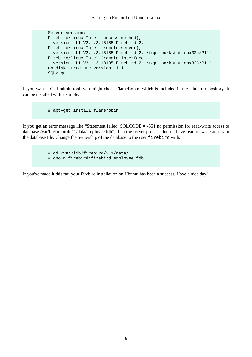```
 Server version:
Firebird/linux Intel (access method),
  version "LI-V2.1.3.18185 Firebird 2.1"
Firebird/linux Intel (remote server),
  version "LI-V2.1.3.18185 Firebird 2.1/tcp (borkstationx32)/P11"
Firebird/linux Intel (remote interface),
 version "LI-V2.1.3.18185 Firebird 2.1/tcp (borkstationx32)/P11"
on disk structure version 11.1
SQL> quit;
```
If you want a GUI admin tool, you might check FlameRobin, which is included in the Ubuntu repository. It can be installed with a simple:

# apt-get install flamerobin

If you get an error message like "Statement failed, SQLCODE = -551 no permission for read-write access to database /var/lib/firebird/2.1/data/employee.fdb", then the server process doesn't have read or write access to the database file. Change the ownership of the database to the user firebird with:

> # cd /var/lib/firebird/2.1/data/ # chown firebird:firebird employee.fdb

If you've made it this far, your Firebird installation on Ubuntu has been a success. Have a nice day!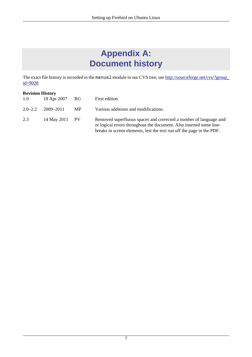# **Appendix A: Document history**

<span id="page-6-0"></span>The exact file history is recorded in the manual module in our CVS tree; see [http://sourceforge.net/cvs/?group\\_](http://sourceforge.net/cvs/?group_id=9028) [id=9028](http://sourceforge.net/cvs/?group_id=9028)

#### **Revision History**

| 1.0         | 18 Apr 2007 RG |           | First edition.                                                                                                                                                                                                     |
|-------------|----------------|-----------|--------------------------------------------------------------------------------------------------------------------------------------------------------------------------------------------------------------------|
| $2.0 - 2.2$ | 2009–2011      | <b>MP</b> | Various additions and modifications.                                                                                                                                                                               |
| 2.3         | 14 May 2011 PV |           | Removed superfluous spaces and corrected a number of language and/<br>or logical errors throughout the document. Also inserted some line-<br>breaks in screen elements, lest the text run off the page in the PDF. |